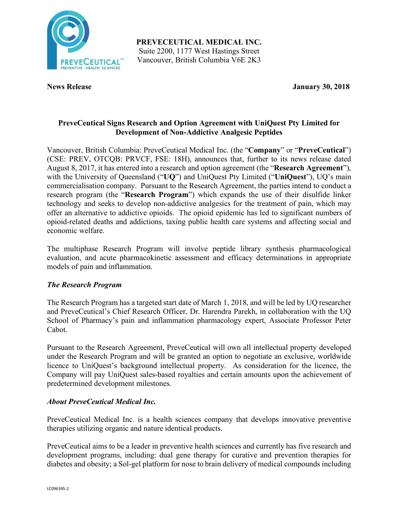

**PREVECEUTICAL MEDICAL INC.** Suite 2200, 1177 West Hastings Street Vancouver, British Columbia V6E 2K3

**News Release January 30, 2018**

# **PreveCeutical Signs Research and Option Agreement with UniQuest Pty Limited for Development of Non-Addictive Analgesic Peptides**

Vancouver, British Columbia: PreveCeutical Medical Inc. (the "**Company**" or "**PreveCeutical**") (CSE: PREV, OTCQB: PRVCF, FSE: 18H), announces that, further to its news release dated August 8, 2017, it has entered into a research and option agreement (the "**Research Agreement**"), with the University of Queensland ("**UQ**") and UniQuest Pty Limited ("**UniQuest**"), UQ's main commercialisation company. Pursuant to the Research Agreement, the parties intend to conduct a research program (the "**Research Program**") which expands the use of their disulfide linker technology and seeks to develop non-addictive analgesics for the treatment of pain, which may offer an alternative to addictive opioids. The opioid epidemic has led to significant numbers of opioid-related deaths and addictions, taxing public health care systems and affecting social and economic welfare.

The multiphase Research Program will involve peptide library synthesis pharmacological evaluation, and acute pharmacokinetic assessment and efficacy determinations in appropriate models of pain and inflammation.

## *The Research Program*

The Research Program has a targeted start date of March 1, 2018, and will be led by UQ researcher and PreveCeutical's Chief Research Officer, Dr. Harendra Parekh, in collaboration with the UQ School of Pharmacy's pain and inflammation pharmacology expert, Associate Professor Peter Cabot.

Pursuant to the Research Agreement, PreveCeutical will own all intellectual property developed under the Research Program and will be granted an option to negotiate an exclusive, worldwide licence to UniQuest's background intellectual property. As consideration for the licence, the Company will pay UniQuest sales-based royalties and certain amounts upon the achievement of predetermined development milestones.

## *About PreveCeutical Medical Inc.*

PreveCeutical Medical Inc. is a health sciences company that develops innovative preventive therapies utilizing organic and nature identical products.

PreveCeutical aims to be a leader in preventive health sciences and currently has five research and development programs, including: dual gene therapy for curative and prevention therapies for diabetes and obesity; a Sol-gel platform for nose to brain delivery of medical compounds including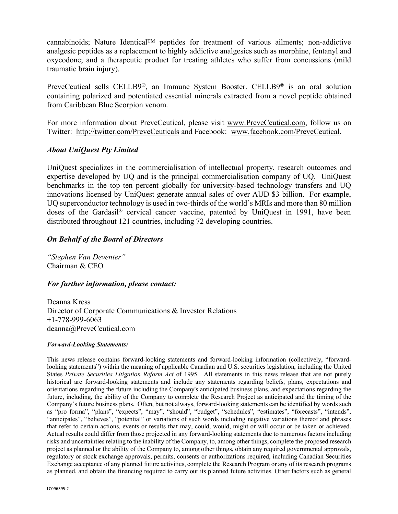cannabinoids; Nature Identical™ peptides for treatment of various ailments; non-addictive analgesic peptides as a replacement to highly addictive analgesics such as morphine, fentanyl and oxycodone; and a therapeutic product for treating athletes who suffer from concussions (mild traumatic brain injury).

PreveCeutical sells CELLB9®, an Immune System Booster. CELLB9® is an oral solution containing polarized and potentiated essential minerals extracted from a novel peptide obtained from Caribbean Blue Scorpion venom.

For more information about PreveCeutical, please visit www.PreveCeutical.com, follow us on Twitter: http://twitter.com/PreveCeuticals and Facebook: www.facebook.com/PreveCeutical.

## *About UniQuest Pty Limited*

UniQuest specializes in the commercialisation of intellectual property, research outcomes and expertise developed by UQ and is the principal commercialisation company of UQ. UniQuest benchmarks in the top ten percent globally for university-based technology transfers and UQ innovations licensed by UniQuest generate annual sales of over AUD \$3 billion. For example, UQ superconductor technology is used in two-thirds of the world's MRIs and more than 80 million doses of the Gardasil® cervical cancer vaccine, patented by UniQuest in 1991, have been distributed throughout 121 countries, including 72 developing countries.

## *On Behalf of the Board of Directors*

*"Stephen Van Deventer"* Chairman & CEO

## *For further information, please contact:*

Deanna Kress Director of Corporate Communications & Investor Relations +1-778-999-6063 deanna@PreveCeutical.com

#### *Forward-Looking Statements:*

This news release contains forward-looking statements and forward-looking information (collectively, "forwardlooking statements") within the meaning of applicable Canadian and U.S. securities legislation, including the United States *Private Securities Litigation Reform Act* of 1995. All statements in this news release that are not purely historical are forward-looking statements and include any statements regarding beliefs, plans, expectations and orientations regarding the future including the Company's anticipated business plans, and expectations regarding the future, including, the ability of the Company to complete the Research Project as anticipated and the timing of the Company's future business plans. Often, but not always, forward-looking statements can be identified by words such as "pro forma", "plans", "expects", "may", "should", "budget", "schedules", "estimates", "forecasts", "intends", "anticipates", "believes", "potential" or variations of such words including negative variations thereof and phrases that refer to certain actions, events or results that may, could, would, might or will occur or be taken or achieved. Actual results could differ from those projected in any forward-looking statements due to numerous factors including risks and uncertainties relating to the inability of the Company, to, among other things, complete the proposed research project as planned or the ability of the Company to, among other things, obtain any required governmental approvals, regulatory or stock exchange approvals, permits, consents or authorizations required, including Canadian Securities Exchange acceptance of any planned future activities, complete the Research Program or any of its research programs as planned, and obtain the financing required to carry out its planned future activities. Other factors such as general